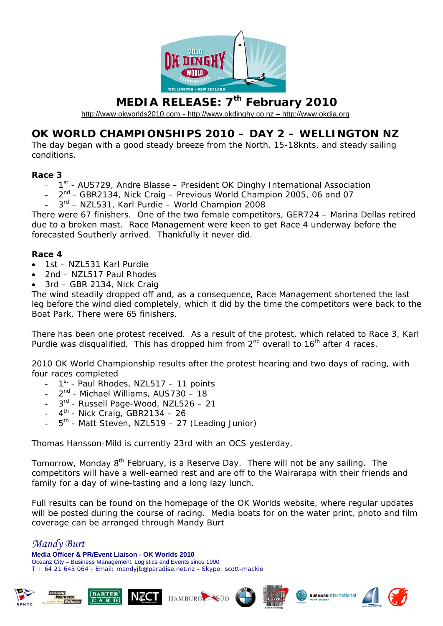

## **MEDIA RELEASE: 7th February 2010**

[http://www.okworlds2010.com](http://www.okworlds2010.com/) - [http://www.okdinghy.co.nz](http://www.okdinghy.co.nz/) – http://www.okdia.org

## **OK WORLD CHAMPIONSHIPS 2010 – DAY 2 – WELLINGTON NZ**

The day began with a good steady breeze from the North, 15-18knts, and steady sailing conditions.

## **Race 3**

- $1<sup>st</sup>$  AUS729, Andre Blasse President OK Dinghy International Association
- $2^{nd}$  GBR2134, Nick Craig Previous World Champion 2005, 06 and 07
- 3<sup>rd</sup> NZL531, Karl Purdie World Champion 2008

There were 67 finishers. One of the two female competitors, GER724 – Marina Dellas retired due to a broken mast. Race Management were keen to get Race 4 underway before the forecasted Southerly arrived. Thankfully it never did.

## **Race 4**

- 1st NZL531 Karl Purdie
- 2nd NZL517 Paul Rhodes
- 3rd GBR 2134, Nick Craig

The wind steadily dropped off and, as a consequence, Race Management shortened the last leg before the wind died completely, which it did by the time the competitors were back to the Boat Park. There were 65 finishers.

There has been one protest received. As a result of the protest, which related to Race 3, Karl Purdie was disqualified. This has dropped him from  $2^{nd}$  overall to  $16^{th}$  after 4 races.

2010 OK World Championship results after the protest hearing and two days of racing, with four races completed

- $1<sup>st</sup>$  Paul Rhodes, NZL517 11 points
- 2<sup>nd</sup> Michael Williams, AUS730 18
- $3<sup>rd</sup>$  Russell Page-Wood, NZL526 21
- $4<sup>th</sup>$  Nick Craig, GBR2134 26
- $5<sup>th</sup>$  Matt Steven, NZL519 27 (Leading Junior)

Thomas Hansson-Mild is currently 23rd with an OCS yesterday.

Tomorrow, Monday  $8<sup>th</sup>$  February, is a Reserve Day. There will not be any sailing. The competitors will have a well-earned rest and are off to the Wairarapa with their friends and family for a day of wine-tasting and a long lazy lunch.

Full results can be found on the homepage of the OK Worlds website, where regular updates will be posted during the course of racing. Media boats for on the water print, photo and film coverage can be arranged through Mandy Burt











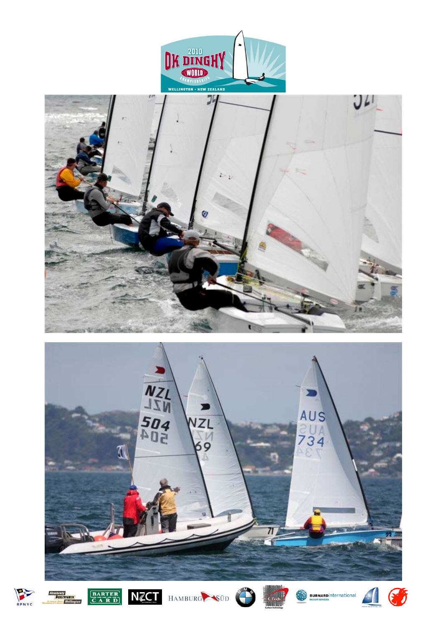